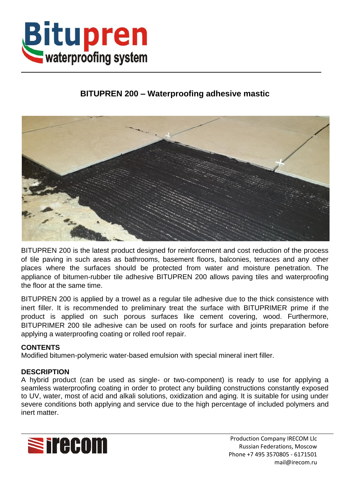

# **BITUPREN 200 – Waterproofing adhesive mastic**



BITUPREN 200 is the latest product designed for reinforcement and cost reduction of the process of tile paving in such areas as bathrooms, basement floors, balconies, terraces and any other places where the surfaces should be protected from water and moisture penetration. The appliance of bitumen-rubber tile adhesive BITUPREN 200 allows paving tiles and waterproofing the floor at the same time.

BITUPREN 200 is applied by a trowel as a regular tile adhesive due to the thick consistence with inert filler. It is recommended to preliminary treat the surface with BITUPRIMER prime if the product is applied on such porous surfaces like cement covering, wood. Furthermore, BITUPRIMER 200 tile adhesive can be used on roofs for surface and joints preparation before applying a waterproofing coating or rolled roof repair.

## **CONTENTS**

Modified bitumen-polymeric water-based emulsion with special mineral inert filler.

#### **DESCRIPTION**

A hybrid product (can be used as single- or two-component) is ready to use for applying a seamless waterproofing coating in order to protect any building constructions constantly exposed to UV, water, most of acid and alkali solutions, oxidization and aging. It is suitable for using under severe conditions both applying and service due to the high percentage of included polymers and inert matter.



Production Company IRECOM Llc Russian Federations, Moscow Phone +7 495 3570805 - 6171501 mail@irecom.ru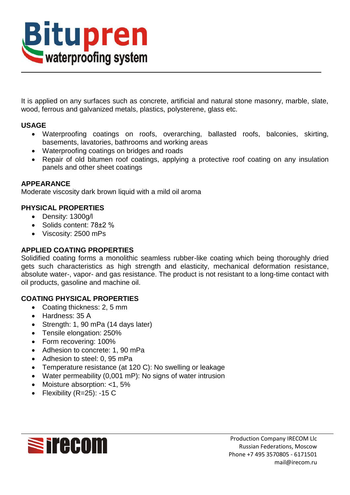

It is applied on any surfaces such as concrete, artificial and natural stone masonry, marble, slate, wood, ferrous and galvanized metals, plastics, polysterene, glass etc.

## **USAGE**

- Waterproofing coatings on roofs, overarching, ballasted roofs, balconies, skirting, basements, lavatories, bathrooms and working areas
- Waterproofing coatings on bridges and roads
- Repair of old bitumen roof coatings, applying a protective roof coating on any insulation panels and other sheet coatings

### **APPEARANCE**

Moderate viscosity dark brown liquid with a mild oil aroma

# **PHYSICAL PROPERTIES**

- Density: 1300g/l
- Solids content: 78±2 %
- Viscosity: 2500 mPs

## **APPLIED COATING PROPERTIES**

Solidified coating forms a monolithic seamless rubber-like coating which being thoroughly dried gets such characteristics as high strength and elasticity, mechanical deformation resistance, absolute water-, vapor- and gas resistance. The product is not resistant to a long-time contact with oil products, gasoline and machine oil.

## **COATING PHYSICAL PROPERTIES**

- Coating thickness: 2, 5 mm
- Hardness: 35 A
- Strength: 1, 90 mPa (14 days later)
- Tensile elongation: 250%
- Form recovering: 100%
- Adhesion to concrete: 1, 90 mPa
- Adhesion to steel: 0, 95 mPa
- Temperature resistance (at 120 C): No swelling or leakage
- Water permeability (0,001 mP): No signs of water intrusion
- Moisture absorption: <1, 5%
- Flexibility  $(R=25)$ : -15 C

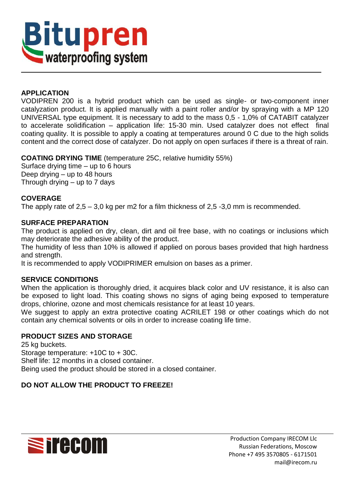

## **APPLICATION**

VODIPREN 200 is a hybrid product which can be used as single- or two-component inner catalyzation product. It is applied manually with a paint roller and/or by spraying with a MP 120 UNIVERSAL type equipment. It is necessary to add to the mass 0,5 - 1,0% of CATABIT catalyzer to accelerate solidification – application life: 15-30 min. Used catalyzer does not effect final coating quality. It is possible to apply a coating at temperatures around 0 C due to the high solids content and the correct dose of catalyzer. Do not apply on open surfaces if there is a threat of rain.

**COATING DRYING TIME** (temperature 25C, relative humidity 55%)

Surface drying time – up to 6 hours Deep drying – up to 48 hours Through drying – up to 7 days

### **COVERAGE**

The apply rate of  $2.5 - 3.0$  kg per m2 for a film thickness of  $2.5 - 3.0$  mm is recommended.

#### **SURFACE PREPARATION**

The product is applied on dry, clean, dirt and oil free base, with no coatings or inclusions which may deteriorate the adhesive ability of the product.

The humidity of less than 10% is allowed if applied on porous bases provided that high hardness and strength.

It is recommended to apply VODIPRIMER emulsion on bases as a primer.

#### **SERVICE CONDITIONS**

When the application is thoroughly dried, it acquires black color and UV resistance, it is also can be exposed to light load. This coating shows no signs of aging being exposed to temperature drops, chlorine, ozone and most chemicals resistance for at least 10 years.

We suggest to apply an extra protective coating ACRILET 198 or other coatings which do not contain any chemical solvents or oils in order to increase coating life time.

## **PRODUCT SIZES AND STORAGE**

25 kg buckets. Storage temperature: +10C to + 30C. Shelf life: 12 months in a closed container. Being used the product should be stored in a closed container.

## **DO NOT ALLOW THE PRODUCT TO FREEZE!**